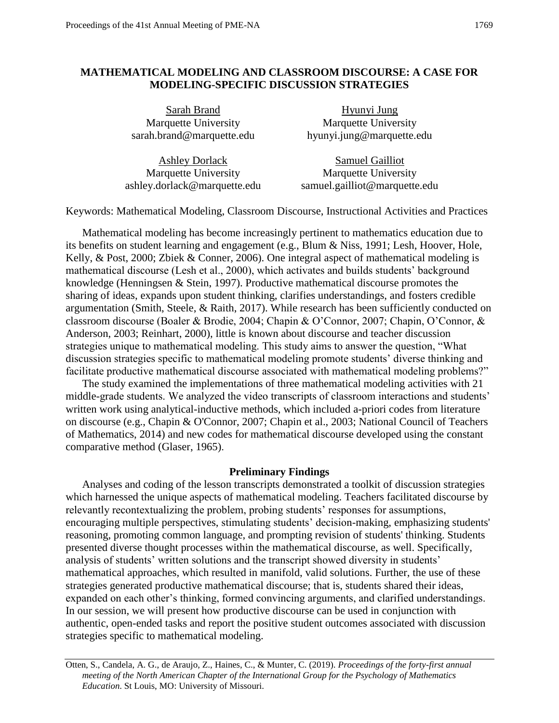## **MATHEMATICAL MODELING AND CLASSROOM DISCOURSE: A CASE FOR MODELING-SPECIFIC DISCUSSION STRATEGIES**

Sarah Brand Marquette University sarah.brand@marquette.edu

Hyunyi Jung Marquette University hyunyi.jung@marquette.edu

Ashley Dorlack Marquette University ashley.dorlack@marquette.edu Samuel Gailliot Marquette University samuel.gailliot@marquette.edu

Keywords: Mathematical Modeling, Classroom Discourse, Instructional Activities and Practices

 classroom discourse (Boaler & Brodie, 2004; Chapin & O'Connor, 2007; Chapin, O'Connor, & Mathematical modeling has become increasingly pertinent to mathematics education due to its benefits on student learning and engagement (e.g., Blum & Niss, 1991; Lesh, Hoover, Hole, Kelly, & Post, 2000; Zbiek & Conner, 2006). One integral aspect of mathematical modeling is mathematical discourse (Lesh et al., 2000), which activates and builds students' background knowledge (Henningsen & Stein, 1997). Productive mathematical discourse promotes the sharing of ideas, expands upon student thinking, clarifies understandings, and fosters credible argumentation (Smith, Steele, & Raith, 2017). While research has been sufficiently conducted on Anderson, 2003; Reinhart, 2000), little is known about discourse and teacher discussion strategies unique to mathematical modeling. This study aims to answer the question, "What discussion strategies specific to mathematical modeling promote students' diverse thinking and facilitate productive mathematical discourse associated with mathematical modeling problems?"

The study examined the implementations of three mathematical modeling activities with 21 middle-grade students. We analyzed the video transcripts of classroom interactions and students' written work using analytical-inductive methods, which included a-priori codes from literature on discourse (e.g., Chapin & O'Connor, 2007; Chapin et al., 2003; National Council of Teachers of Mathematics, 2014) and new codes for mathematical discourse developed using the constant comparative method (Glaser, 1965).

## **Preliminary Findings**

Analyses and coding of the lesson transcripts demonstrated a toolkit of discussion strategies which harnessed the unique aspects of mathematical modeling. Teachers facilitated discourse by relevantly recontextualizing the problem, probing students' responses for assumptions, encouraging multiple perspectives, stimulating students' decision-making, emphasizing students' reasoning, promoting common language, and prompting revision of students' thinking. Students presented diverse thought processes within the mathematical discourse, as well. Specifically, analysis of students' written solutions and the transcript showed diversity in students' mathematical approaches, which resulted in manifold, valid solutions. Further, the use of these strategies generated productive mathematical discourse; that is, students shared their ideas, expanded on each other's thinking, formed convincing arguments, and clarified understandings. In our session, we will present how productive discourse can be used in conjunction with authentic, open-ended tasks and report the positive student outcomes associated with discussion strategies specific to mathematical modeling.

 Otten, S., Candela, A. G., de Araujo, Z., Haines, C., & Munter, C. (2019). *Proceedings of the forty-first annual meeting of the North American Chapter of the International Group for the Psychology of Mathematics Education*. St Louis, MO: University of Missouri.